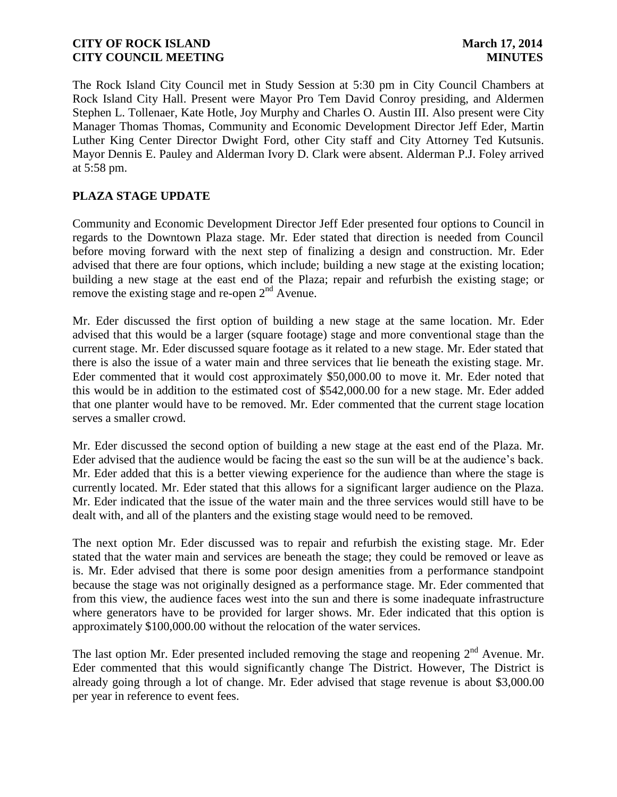The Rock Island City Council met in Study Session at 5:30 pm in City Council Chambers at Rock Island City Hall. Present were Mayor Pro Tem David Conroy presiding, and Aldermen Stephen L. Tollenaer, Kate Hotle, Joy Murphy and Charles O. Austin III. Also present were City Manager Thomas Thomas, Community and Economic Development Director Jeff Eder, Martin Luther King Center Director Dwight Ford, other City staff and City Attorney Ted Kutsunis. Mayor Dennis E. Pauley and Alderman Ivory D. Clark were absent. Alderman P.J. Foley arrived at 5:58 pm.

# **PLAZA STAGE UPDATE**

Community and Economic Development Director Jeff Eder presented four options to Council in regards to the Downtown Plaza stage. Mr. Eder stated that direction is needed from Council before moving forward with the next step of finalizing a design and construction. Mr. Eder advised that there are four options, which include; building a new stage at the existing location; building a new stage at the east end of the Plaza; repair and refurbish the existing stage; or remove the existing stage and re-open  $2<sup>nd</sup>$  Avenue.

Mr. Eder discussed the first option of building a new stage at the same location. Mr. Eder advised that this would be a larger (square footage) stage and more conventional stage than the current stage. Mr. Eder discussed square footage as it related to a new stage. Mr. Eder stated that there is also the issue of a water main and three services that lie beneath the existing stage. Mr. Eder commented that it would cost approximately \$50,000.00 to move it. Mr. Eder noted that this would be in addition to the estimated cost of \$542,000.00 for a new stage. Mr. Eder added that one planter would have to be removed. Mr. Eder commented that the current stage location serves a smaller crowd.

Mr. Eder discussed the second option of building a new stage at the east end of the Plaza. Mr. Eder advised that the audience would be facing the east so the sun will be at the audience's back. Mr. Eder added that this is a better viewing experience for the audience than where the stage is currently located. Mr. Eder stated that this allows for a significant larger audience on the Plaza. Mr. Eder indicated that the issue of the water main and the three services would still have to be dealt with, and all of the planters and the existing stage would need to be removed.

The next option Mr. Eder discussed was to repair and refurbish the existing stage. Mr. Eder stated that the water main and services are beneath the stage; they could be removed or leave as is. Mr. Eder advised that there is some poor design amenities from a performance standpoint because the stage was not originally designed as a performance stage. Mr. Eder commented that from this view, the audience faces west into the sun and there is some inadequate infrastructure where generators have to be provided for larger shows. Mr. Eder indicated that this option is approximately \$100,000.00 without the relocation of the water services.

The last option Mr. Eder presented included removing the stage and reopening  $2<sup>nd</sup>$  Avenue. Mr. Eder commented that this would significantly change The District. However, The District is already going through a lot of change. Mr. Eder advised that stage revenue is about \$3,000.00 per year in reference to event fees.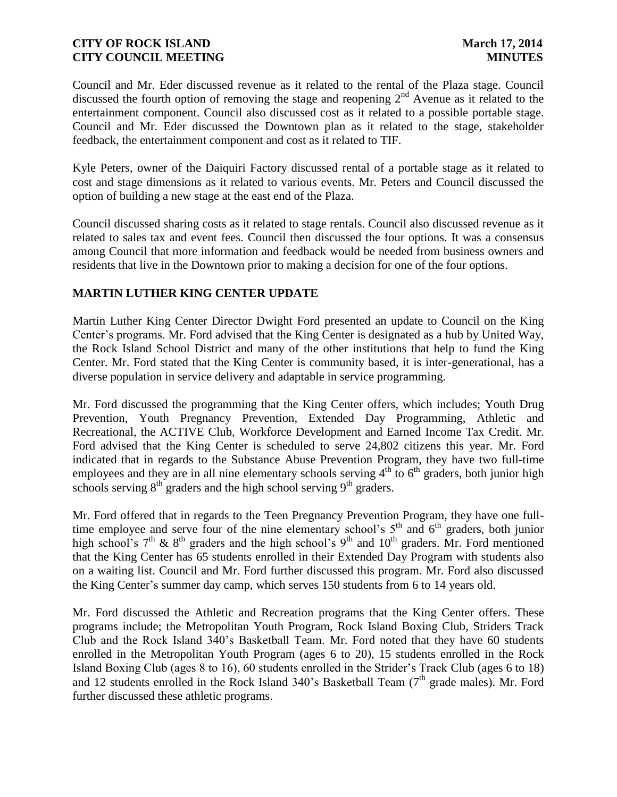Council and Mr. Eder discussed revenue as it related to the rental of the Plaza stage. Council discussed the fourth option of removing the stage and reopening  $2<sup>nd</sup>$  Avenue as it related to the entertainment component. Council also discussed cost as it related to a possible portable stage. Council and Mr. Eder discussed the Downtown plan as it related to the stage, stakeholder feedback, the entertainment component and cost as it related to TIF.

Kyle Peters, owner of the Daiquiri Factory discussed rental of a portable stage as it related to cost and stage dimensions as it related to various events. Mr. Peters and Council discussed the option of building a new stage at the east end of the Plaza.

Council discussed sharing costs as it related to stage rentals. Council also discussed revenue as it related to sales tax and event fees. Council then discussed the four options. It was a consensus among Council that more information and feedback would be needed from business owners and residents that live in the Downtown prior to making a decision for one of the four options.

# **MARTIN LUTHER KING CENTER UPDATE**

Martin Luther King Center Director Dwight Ford presented an update to Council on the King Center's programs. Mr. Ford advised that the King Center is designated as a hub by United Way, the Rock Island School District and many of the other institutions that help to fund the King Center. Mr. Ford stated that the King Center is community based, it is inter-generational, has a diverse population in service delivery and adaptable in service programming.

Mr. Ford discussed the programming that the King Center offers, which includes; Youth Drug Prevention, Youth Pregnancy Prevention, Extended Day Programming, Athletic and Recreational, the ACTIVE Club, Workforce Development and Earned Income Tax Credit. Mr. Ford advised that the King Center is scheduled to serve 24,802 citizens this year. Mr. Ford indicated that in regards to the Substance Abuse Prevention Program, they have two full-time employees and they are in all nine elementary schools serving  $4<sup>th</sup>$  to  $6<sup>th</sup>$  graders, both junior high schools serving  $8<sup>th</sup>$  graders and the high school serving  $9<sup>th</sup>$  graders.

Mr. Ford offered that in regards to the Teen Pregnancy Prevention Program, they have one fulltime employee and serve four of the nine elementary school's  $5<sup>th</sup>$  and  $6<sup>th</sup>$  graders, both junior high school's  $7<sup>th</sup>$  &  $8<sup>th</sup>$  graders and the high school's  $9<sup>th</sup>$  and  $10<sup>th</sup>$  graders. Mr. Ford mentioned that the King Center has 65 students enrolled in their Extended Day Program with students also on a waiting list. Council and Mr. Ford further discussed this program. Mr. Ford also discussed the King Center's summer day camp, which serves 150 students from 6 to 14 years old.

Mr. Ford discussed the Athletic and Recreation programs that the King Center offers. These programs include; the Metropolitan Youth Program, Rock Island Boxing Club, Striders Track Club and the Rock Island 340's Basketball Team. Mr. Ford noted that they have 60 students enrolled in the Metropolitan Youth Program (ages 6 to 20), 15 students enrolled in the Rock Island Boxing Club (ages 8 to 16), 60 students enrolled in the Strider's Track Club (ages 6 to 18) and 12 students enrolled in the Rock Island 340's Basketball Team ( $7<sup>th</sup>$  grade males). Mr. Ford further discussed these athletic programs.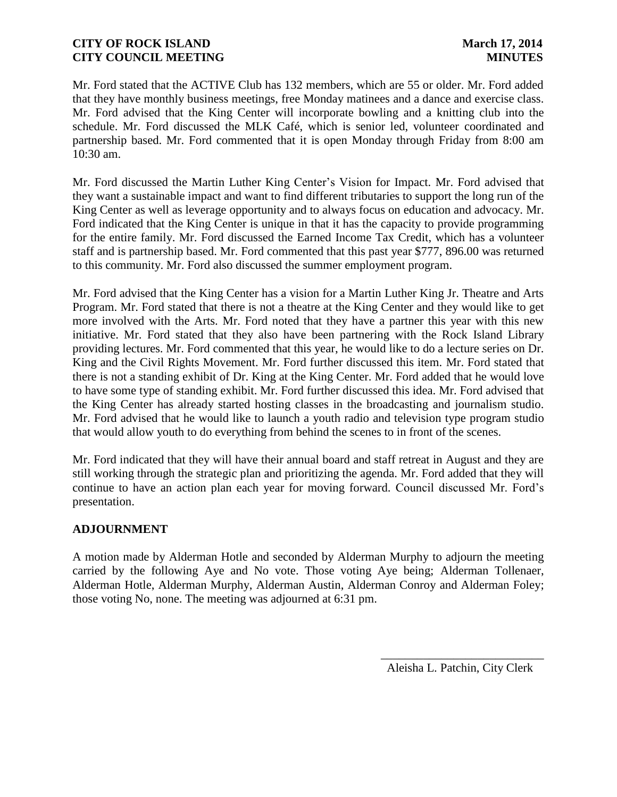Mr. Ford stated that the ACTIVE Club has 132 members, which are 55 or older. Mr. Ford added that they have monthly business meetings, free Monday matinees and a dance and exercise class. Mr. Ford advised that the King Center will incorporate bowling and a knitting club into the schedule. Mr. Ford discussed the MLK Café, which is senior led, volunteer coordinated and partnership based. Mr. Ford commented that it is open Monday through Friday from 8:00 am 10:30 am.

Mr. Ford discussed the Martin Luther King Center's Vision for Impact. Mr. Ford advised that they want a sustainable impact and want to find different tributaries to support the long run of the King Center as well as leverage opportunity and to always focus on education and advocacy. Mr. Ford indicated that the King Center is unique in that it has the capacity to provide programming for the entire family. Mr. Ford discussed the Earned Income Tax Credit, which has a volunteer staff and is partnership based. Mr. Ford commented that this past year \$777, 896.00 was returned to this community. Mr. Ford also discussed the summer employment program.

Mr. Ford advised that the King Center has a vision for a Martin Luther King Jr. Theatre and Arts Program. Mr. Ford stated that there is not a theatre at the King Center and they would like to get more involved with the Arts. Mr. Ford noted that they have a partner this year with this new initiative. Mr. Ford stated that they also have been partnering with the Rock Island Library providing lectures. Mr. Ford commented that this year, he would like to do a lecture series on Dr. King and the Civil Rights Movement. Mr. Ford further discussed this item. Mr. Ford stated that there is not a standing exhibit of Dr. King at the King Center. Mr. Ford added that he would love to have some type of standing exhibit. Mr. Ford further discussed this idea. Mr. Ford advised that the King Center has already started hosting classes in the broadcasting and journalism studio. Mr. Ford advised that he would like to launch a youth radio and television type program studio that would allow youth to do everything from behind the scenes to in front of the scenes.

Mr. Ford indicated that they will have their annual board and staff retreat in August and they are still working through the strategic plan and prioritizing the agenda. Mr. Ford added that they will continue to have an action plan each year for moving forward. Council discussed Mr. Ford's presentation.

# **ADJOURNMENT**

A motion made by Alderman Hotle and seconded by Alderman Murphy to adjourn the meeting carried by the following Aye and No vote. Those voting Aye being; Alderman Tollenaer, Alderman Hotle, Alderman Murphy, Alderman Austin, Alderman Conroy and Alderman Foley; those voting No, none. The meeting was adjourned at 6:31 pm.

> \_\_\_\_\_\_\_\_\_\_\_\_\_\_\_\_\_\_\_\_\_\_\_\_\_\_\_ Aleisha L. Patchin, City Clerk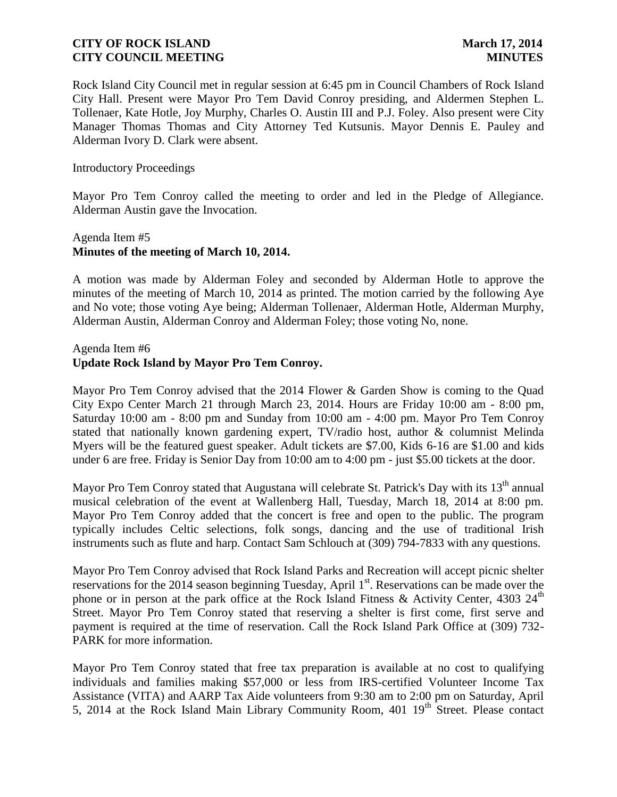Rock Island City Council met in regular session at 6:45 pm in Council Chambers of Rock Island City Hall. Present were Mayor Pro Tem David Conroy presiding, and Aldermen Stephen L. Tollenaer, Kate Hotle, Joy Murphy, Charles O. Austin III and P.J. Foley. Also present were City Manager Thomas Thomas and City Attorney Ted Kutsunis. Mayor Dennis E. Pauley and Alderman Ivory D. Clark were absent.

### Introductory Proceedings

Mayor Pro Tem Conroy called the meeting to order and led in the Pledge of Allegiance. Alderman Austin gave the Invocation.

# Agenda Item #5 **Minutes of the meeting of March 10, 2014.**

A motion was made by Alderman Foley and seconded by Alderman Hotle to approve the minutes of the meeting of March 10, 2014 as printed. The motion carried by the following Aye and No vote; those voting Aye being; Alderman Tollenaer, Alderman Hotle, Alderman Murphy, Alderman Austin, Alderman Conroy and Alderman Foley; those voting No, none.

### Agenda Item #6

# **Update Rock Island by Mayor Pro Tem Conroy.**

Mayor Pro Tem Conroy advised that the 2014 Flower & Garden Show is coming to the Quad City Expo Center March 21 through March 23, 2014. Hours are Friday 10:00 am - 8:00 pm, Saturday 10:00 am - 8:00 pm and Sunday from 10:00 am - 4:00 pm. Mayor Pro Tem Conroy stated that nationally known gardening expert, TV/radio host, author & columnist Melinda Myers will be the featured guest speaker. Adult tickets are \$7.00, Kids 6-16 are \$1.00 and kids under 6 are free. Friday is Senior Day from 10:00 am to 4:00 pm - just \$5.00 tickets at the door.

Mayor Pro Tem Conroy stated that Augustana will celebrate St. Patrick's Day with its  $13<sup>th</sup>$  annual musical celebration of the event at Wallenberg Hall, Tuesday, March 18, 2014 at 8:00 pm. Mayor Pro Tem Conroy added that the concert is free and open to the public. The program typically includes Celtic selections, folk songs, dancing and the use of traditional Irish instruments such as flute and harp. Contact Sam Schlouch at (309) 794-7833 with any questions.

Mayor Pro Tem Conroy advised that Rock Island Parks and Recreation will accept picnic shelter reservations for the 2014 season beginning Tuesday, April 1<sup>st</sup>. Reservations can be made over the phone or in person at the park office at the Rock Island Fitness & Activity Center, 4303 24<sup>th</sup> Street. Mayor Pro Tem Conroy stated that reserving a shelter is first come, first serve and payment is required at the time of reservation. Call the Rock Island Park Office at (309) 732- PARK for more information.

Mayor Pro Tem Conroy stated that free tax preparation is available at no cost to qualifying individuals and families making \$57,000 or less from IRS-certified Volunteer Income Tax Assistance (VITA) and AARP Tax Aide volunteers from 9:30 am to 2:00 pm on Saturday, April 5, 2014 at the Rock Island Main Library Community Room, 401 19<sup>th</sup> Street. Please contact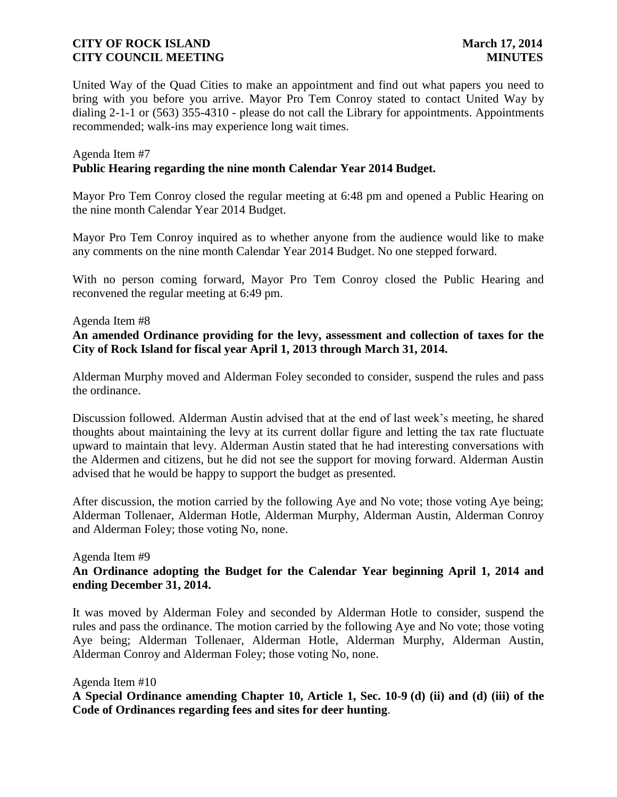United Way of the Quad Cities to make an appointment and find out what papers you need to bring with you before you arrive. Mayor Pro Tem Conroy stated to contact United Way by dialing 2-1-1 or (563) 355-4310 - please do not call the Library for appointments. Appointments recommended; walk-ins may experience long wait times.

### Agenda Item #7 **Public Hearing regarding the nine month Calendar Year 2014 Budget.**

Mayor Pro Tem Conroy closed the regular meeting at 6:48 pm and opened a Public Hearing on the nine month Calendar Year 2014 Budget.

Mayor Pro Tem Conroy inquired as to whether anyone from the audience would like to make any comments on the nine month Calendar Year 2014 Budget. No one stepped forward.

With no person coming forward, Mayor Pro Tem Conroy closed the Public Hearing and reconvened the regular meeting at 6:49 pm.

### Agenda Item #8

**An amended Ordinance providing for the levy, assessment and collection of taxes for the City of Rock Island for fiscal year April 1, 2013 through March 31, 2014.**

Alderman Murphy moved and Alderman Foley seconded to consider, suspend the rules and pass the ordinance.

Discussion followed. Alderman Austin advised that at the end of last week's meeting, he shared thoughts about maintaining the levy at its current dollar figure and letting the tax rate fluctuate upward to maintain that levy. Alderman Austin stated that he had interesting conversations with the Aldermen and citizens, but he did not see the support for moving forward. Alderman Austin advised that he would be happy to support the budget as presented.

After discussion, the motion carried by the following Aye and No vote; those voting Aye being; Alderman Tollenaer, Alderman Hotle, Alderman Murphy, Alderman Austin, Alderman Conroy and Alderman Foley; those voting No, none.

#### Agenda Item #9

# **An Ordinance adopting the Budget for the Calendar Year beginning April 1, 2014 and ending December 31, 2014.**

It was moved by Alderman Foley and seconded by Alderman Hotle to consider, suspend the rules and pass the ordinance. The motion carried by the following Aye and No vote; those voting Aye being; Alderman Tollenaer, Alderman Hotle, Alderman Murphy, Alderman Austin, Alderman Conroy and Alderman Foley; those voting No, none.

### Agenda Item #10

**A Special Ordinance amending Chapter 10, Article 1, Sec. 10-9 (d) (ii) and (d) (iii) of the Code of Ordinances regarding fees and sites for deer hunting**.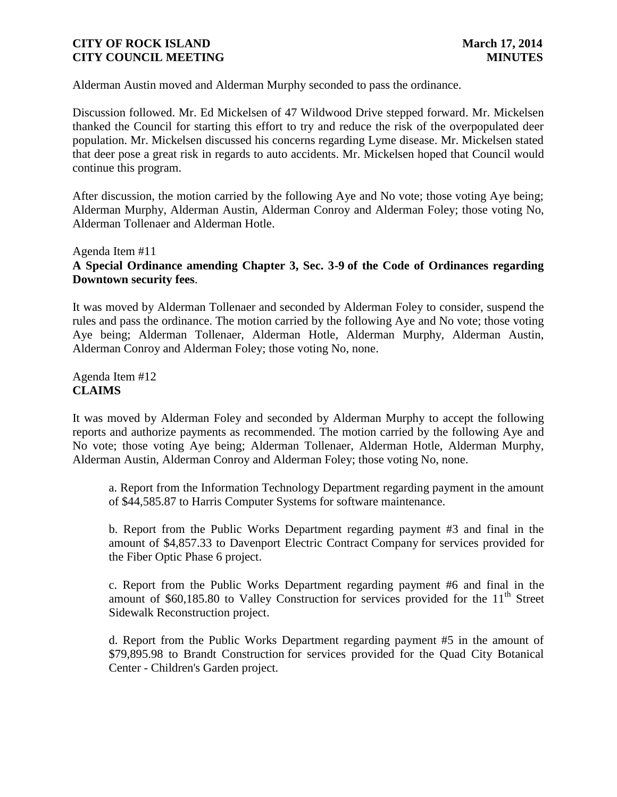Alderman Austin moved and Alderman Murphy seconded to pass the ordinance.

Discussion followed. Mr. Ed Mickelsen of 47 Wildwood Drive stepped forward. Mr. Mickelsen thanked the Council for starting this effort to try and reduce the risk of the overpopulated deer population. Mr. Mickelsen discussed his concerns regarding Lyme disease. Mr. Mickelsen stated that deer pose a great risk in regards to auto accidents. Mr. Mickelsen hoped that Council would continue this program.

After discussion, the motion carried by the following Aye and No vote; those voting Aye being; Alderman Murphy, Alderman Austin, Alderman Conroy and Alderman Foley; those voting No, Alderman Tollenaer and Alderman Hotle.

### Agenda Item #11

# **A Special Ordinance amending Chapter 3, Sec. 3-9 of the Code of Ordinances regarding Downtown security fees**.

It was moved by Alderman Tollenaer and seconded by Alderman Foley to consider, suspend the rules and pass the ordinance. The motion carried by the following Aye and No vote; those voting Aye being; Alderman Tollenaer, Alderman Hotle, Alderman Murphy, Alderman Austin, Alderman Conroy and Alderman Foley; those voting No, none.

Agenda Item #12 **CLAIMS**

It was moved by Alderman Foley and seconded by Alderman Murphy to accept the following reports and authorize payments as recommended. The motion carried by the following Aye and No vote; those voting Aye being; Alderman Tollenaer, Alderman Hotle, Alderman Murphy, Alderman Austin, Alderman Conroy and Alderman Foley; those voting No, none.

a. Report from the Information Technology Department regarding payment in the amount of \$44,585.87 to Harris Computer Systems for software maintenance.

b. Report from the Public Works Department regarding payment #3 and final in the amount of \$4,857.33 to Davenport Electric Contract Company for services provided for the Fiber Optic Phase 6 project.

c. Report from the Public Works Department regarding payment #6 and final in the amount of  $$60,185.80$  to Valley Construction for services provided for the  $11<sup>th</sup>$  Street Sidewalk Reconstruction project.

d. Report from the Public Works Department regarding payment #5 in the amount of \$79,895.98 to Brandt Construction for services provided for the Quad City Botanical Center - Children's Garden project.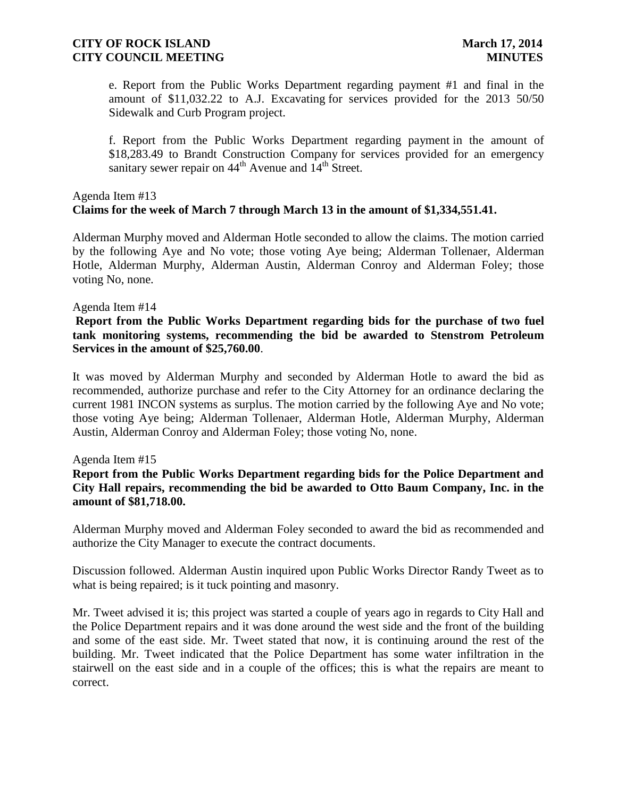e. Report from the Public Works Department regarding payment #1 and final in the amount of \$11,032.22 to A.J. Excavating for services provided for the 2013 50/50 Sidewalk and Curb Program project.

f. Report from the Public Works Department regarding payment in the amount of \$18,283.49 to Brandt Construction Company for services provided for an emergency sanitary sewer repair on  $44<sup>th</sup>$  Avenue and  $14<sup>th</sup>$  Street.

# Agenda Item #13 **Claims for the week of March 7 through March 13 in the amount of \$1,334,551.41.**

Alderman Murphy moved and Alderman Hotle seconded to allow the claims. The motion carried by the following Aye and No vote; those voting Aye being; Alderman Tollenaer, Alderman Hotle, Alderman Murphy, Alderman Austin, Alderman Conroy and Alderman Foley; those voting No, none.

### Agenda Item #14

### **Report from the Public Works Department regarding bids for the purchase of two fuel tank monitoring systems, recommending the bid be awarded to Stenstrom Petroleum Services in the amount of \$25,760.00**.

It was moved by Alderman Murphy and seconded by Alderman Hotle to award the bid as recommended, authorize purchase and refer to the City Attorney for an ordinance declaring the current 1981 INCON systems as surplus. The motion carried by the following Aye and No vote; those voting Aye being; Alderman Tollenaer, Alderman Hotle, Alderman Murphy, Alderman Austin, Alderman Conroy and Alderman Foley; those voting No, none.

### Agenda Item #15

**Report from the Public Works Department regarding bids for the Police Department and City Hall repairs, recommending the bid be awarded to Otto Baum Company, Inc. in the amount of \$81,718.00.** 

Alderman Murphy moved and Alderman Foley seconded to award the bid as recommended and authorize the City Manager to execute the contract documents.

Discussion followed. Alderman Austin inquired upon Public Works Director Randy Tweet as to what is being repaired; is it tuck pointing and masonry.

Mr. Tweet advised it is; this project was started a couple of years ago in regards to City Hall and the Police Department repairs and it was done around the west side and the front of the building and some of the east side. Mr. Tweet stated that now, it is continuing around the rest of the building. Mr. Tweet indicated that the Police Department has some water infiltration in the stairwell on the east side and in a couple of the offices; this is what the repairs are meant to correct.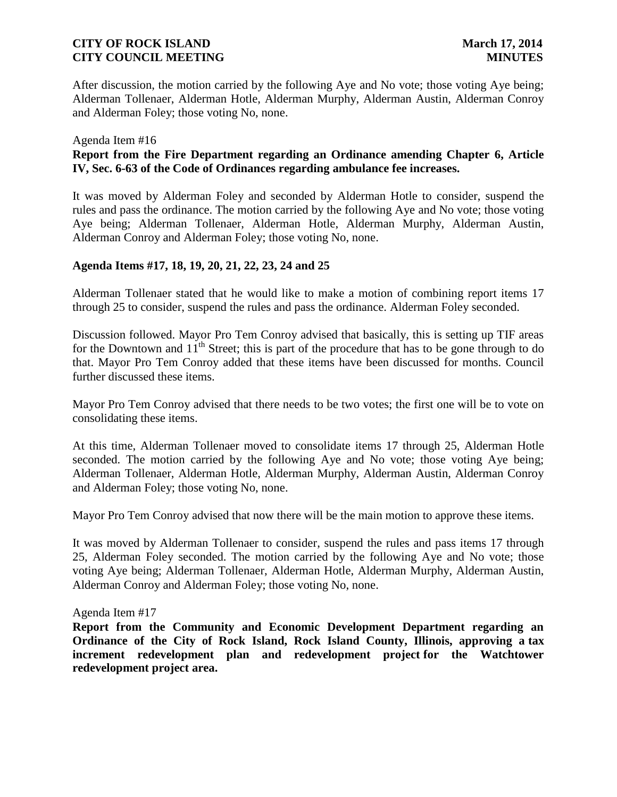After discussion, the motion carried by the following Aye and No vote; those voting Aye being; Alderman Tollenaer, Alderman Hotle, Alderman Murphy, Alderman Austin, Alderman Conroy and Alderman Foley; those voting No, none.

### Agenda Item #16

## **Report from the Fire Department regarding an Ordinance amending Chapter 6, Article IV, Sec. 6-63 of the Code of Ordinances regarding ambulance fee increases.**

It was moved by Alderman Foley and seconded by Alderman Hotle to consider, suspend the rules and pass the ordinance. The motion carried by the following Aye and No vote; those voting Aye being; Alderman Tollenaer, Alderman Hotle, Alderman Murphy, Alderman Austin, Alderman Conroy and Alderman Foley; those voting No, none.

### **Agenda Items #17, 18, 19, 20, 21, 22, 23, 24 and 25**

Alderman Tollenaer stated that he would like to make a motion of combining report items 17 through 25 to consider, suspend the rules and pass the ordinance. Alderman Foley seconded.

Discussion followed. Mayor Pro Tem Conroy advised that basically, this is setting up TIF areas for the Downtown and  $11<sup>th</sup>$  Street; this is part of the procedure that has to be gone through to do that. Mayor Pro Tem Conroy added that these items have been discussed for months. Council further discussed these items.

Mayor Pro Tem Conroy advised that there needs to be two votes; the first one will be to vote on consolidating these items.

At this time, Alderman Tollenaer moved to consolidate items 17 through 25, Alderman Hotle seconded. The motion carried by the following Aye and No vote; those voting Aye being; Alderman Tollenaer, Alderman Hotle, Alderman Murphy, Alderman Austin, Alderman Conroy and Alderman Foley; those voting No, none.

Mayor Pro Tem Conroy advised that now there will be the main motion to approve these items.

It was moved by Alderman Tollenaer to consider, suspend the rules and pass items 17 through 25, Alderman Foley seconded. The motion carried by the following Aye and No vote; those voting Aye being; Alderman Tollenaer, Alderman Hotle, Alderman Murphy, Alderman Austin, Alderman Conroy and Alderman Foley; those voting No, none.

#### Agenda Item #17

**Report from the Community and Economic Development Department regarding an Ordinance of the City of Rock Island, Rock Island County, Illinois, approving a tax increment redevelopment plan and redevelopment project for the Watchtower redevelopment project area.**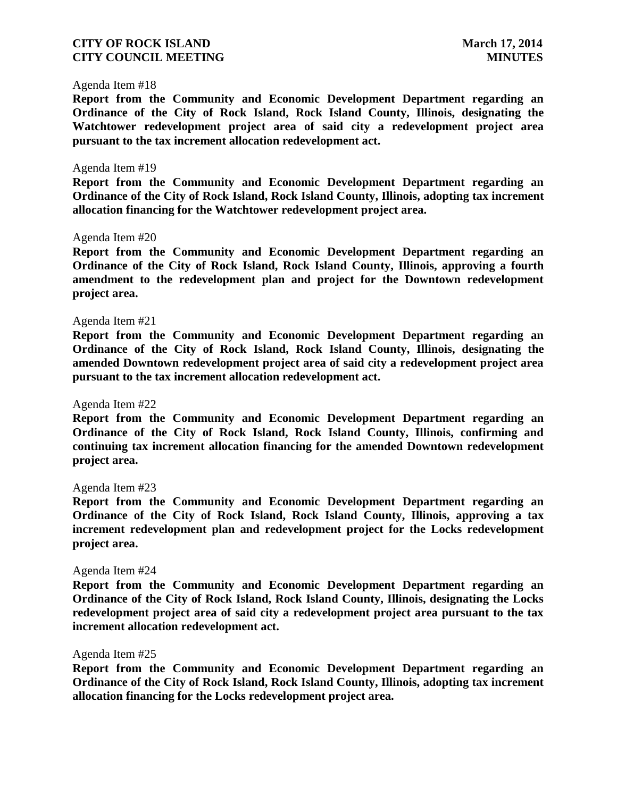#### Agenda Item #18

**Report from the Community and Economic Development Department regarding an Ordinance of the City of Rock Island, Rock Island County, Illinois, designating the Watchtower redevelopment project area of said city a redevelopment project area pursuant to the tax increment allocation redevelopment act.**

#### Agenda Item #19

**Report from the Community and Economic Development Department regarding an Ordinance of the City of Rock Island, Rock Island County, Illinois, adopting tax increment allocation financing for the Watchtower redevelopment project area.**

#### Agenda Item #20

**Report from the Community and Economic Development Department regarding an Ordinance of the City of Rock Island, Rock Island County, Illinois, approving a fourth amendment to the redevelopment plan and project for the Downtown redevelopment project area.**

#### Agenda Item #21

**Report from the Community and Economic Development Department regarding an Ordinance of the City of Rock Island, Rock Island County, Illinois, designating the amended Downtown redevelopment project area of said city a redevelopment project area pursuant to the tax increment allocation redevelopment act.**

#### Agenda Item #22

**Report from the Community and Economic Development Department regarding an Ordinance of the City of Rock Island, Rock Island County, Illinois, confirming and continuing tax increment allocation financing for the amended Downtown redevelopment project area.** 

#### Agenda Item #23

**Report from the Community and Economic Development Department regarding an Ordinance of the City of Rock Island, Rock Island County, Illinois, approving a tax increment redevelopment plan and redevelopment project for the Locks redevelopment project area.** 

#### Agenda Item #24

**Report from the Community and Economic Development Department regarding an Ordinance of the City of Rock Island, Rock Island County, Illinois, designating the Locks redevelopment project area of said city a redevelopment project area pursuant to the tax increment allocation redevelopment act.**

#### Agenda Item #25

**Report from the Community and Economic Development Department regarding an Ordinance of the City of Rock Island, Rock Island County, Illinois, adopting tax increment allocation financing for the Locks redevelopment project area.**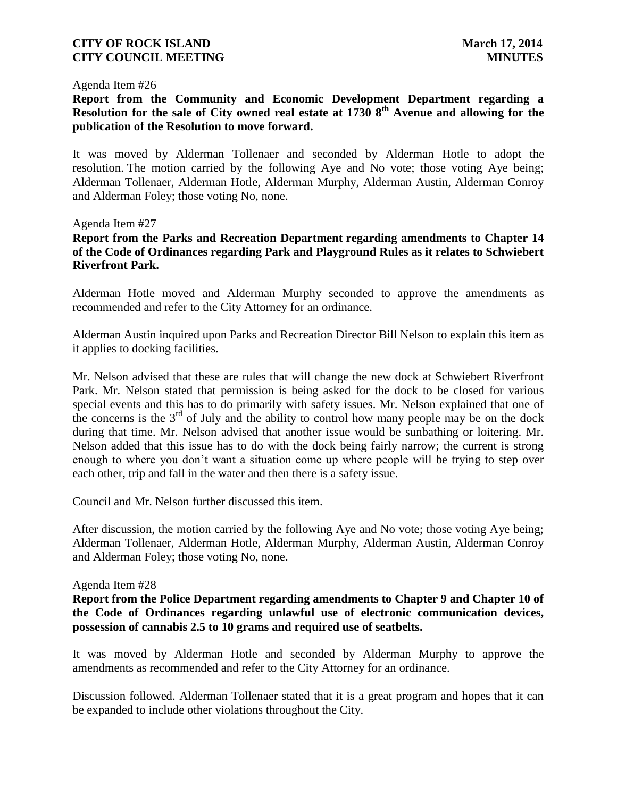#### Agenda Item #26

**Report from the Community and Economic Development Department regarding a Resolution for the sale of City owned real estate at 1730 8th Avenue and allowing for the publication of the Resolution to move forward.**

It was moved by Alderman Tollenaer and seconded by Alderman Hotle to adopt the resolution. The motion carried by the following Aye and No vote; those voting Aye being; Alderman Tollenaer, Alderman Hotle, Alderman Murphy, Alderman Austin, Alderman Conroy and Alderman Foley; those voting No, none.

### Agenda Item #27

# **Report from the Parks and Recreation Department regarding amendments to Chapter 14 of the Code of Ordinances regarding Park and Playground Rules as it relates to Schwiebert Riverfront Park.**

Alderman Hotle moved and Alderman Murphy seconded to approve the amendments as recommended and refer to the City Attorney for an ordinance.

Alderman Austin inquired upon Parks and Recreation Director Bill Nelson to explain this item as it applies to docking facilities.

Mr. Nelson advised that these are rules that will change the new dock at Schwiebert Riverfront Park. Mr. Nelson stated that permission is being asked for the dock to be closed for various special events and this has to do primarily with safety issues. Mr. Nelson explained that one of the concerns is the  $3<sup>rd</sup>$  of July and the ability to control how many people may be on the dock during that time. Mr. Nelson advised that another issue would be sunbathing or loitering. Mr. Nelson added that this issue has to do with the dock being fairly narrow; the current is strong enough to where you don't want a situation come up where people will be trying to step over each other, trip and fall in the water and then there is a safety issue.

Council and Mr. Nelson further discussed this item.

After discussion, the motion carried by the following Aye and No vote; those voting Aye being; Alderman Tollenaer, Alderman Hotle, Alderman Murphy, Alderman Austin, Alderman Conroy and Alderman Foley; those voting No, none.

#### Agenda Item #28

# **Report from the Police Department regarding amendments to Chapter 9 and Chapter 10 of the Code of Ordinances regarding unlawful use of electronic communication devices, possession of cannabis 2.5 to 10 grams and required use of seatbelts.**

It was moved by Alderman Hotle and seconded by Alderman Murphy to approve the amendments as recommended and refer to the City Attorney for an ordinance.

Discussion followed. Alderman Tollenaer stated that it is a great program and hopes that it can be expanded to include other violations throughout the City.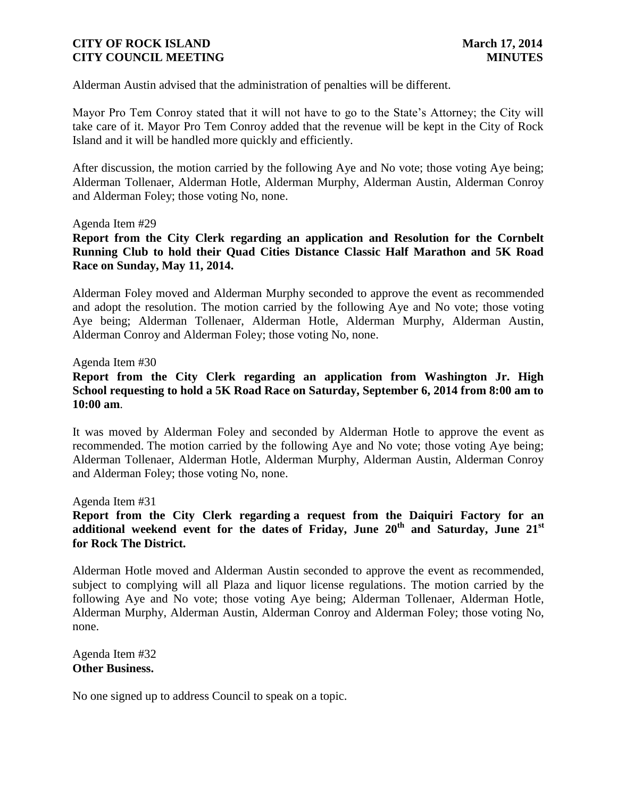Alderman Austin advised that the administration of penalties will be different.

Mayor Pro Tem Conroy stated that it will not have to go to the State's Attorney; the City will take care of it. Mayor Pro Tem Conroy added that the revenue will be kept in the City of Rock Island and it will be handled more quickly and efficiently.

After discussion, the motion carried by the following Aye and No vote; those voting Aye being; Alderman Tollenaer, Alderman Hotle, Alderman Murphy, Alderman Austin, Alderman Conroy and Alderman Foley; those voting No, none.

#### Agenda Item #29

**Report from the City Clerk regarding an application and Resolution for the Cornbelt Running Club to hold their Quad Cities Distance Classic Half Marathon and 5K Road Race on Sunday, May 11, 2014.**

Alderman Foley moved and Alderman Murphy seconded to approve the event as recommended and adopt the resolution. The motion carried by the following Aye and No vote; those voting Aye being; Alderman Tollenaer, Alderman Hotle, Alderman Murphy, Alderman Austin, Alderman Conroy and Alderman Foley; those voting No, none.

#### Agenda Item #30

# **Report from the City Clerk regarding an application from Washington Jr. High School requesting to hold a 5K Road Race on Saturday, September 6, 2014 from 8:00 am to 10:00 am**.

It was moved by Alderman Foley and seconded by Alderman Hotle to approve the event as recommended. The motion carried by the following Aye and No vote; those voting Aye being; Alderman Tollenaer, Alderman Hotle, Alderman Murphy, Alderman Austin, Alderman Conroy and Alderman Foley; those voting No, none.

Agenda Item #31

**Report from the City Clerk regarding a request from the Daiquiri Factory for an additional weekend event for the dates of Friday, June 20th and Saturday, June 21st for Rock The District.** 

Alderman Hotle moved and Alderman Austin seconded to approve the event as recommended, subject to complying will all Plaza and liquor license regulations. The motion carried by the following Aye and No vote; those voting Aye being; Alderman Tollenaer, Alderman Hotle, Alderman Murphy, Alderman Austin, Alderman Conroy and Alderman Foley; those voting No, none.

Agenda Item #32 **Other Business.**

No one signed up to address Council to speak on a topic.